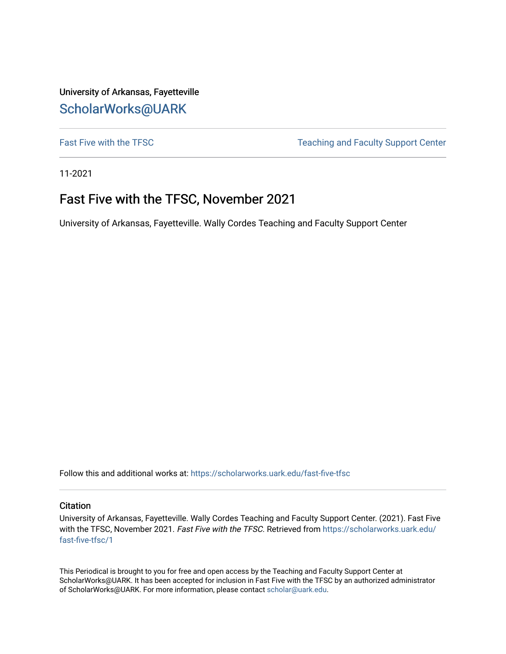University of Arkansas, Fayetteville [ScholarWorks@UARK](https://scholarworks.uark.edu/) 

[Fast Five with the TFSC](https://scholarworks.uark.edu/fast-five-tfsc) Teaching and Faculty Support Center

11-2021

# Fast Five with the TFSC, November 2021

University of Arkansas, Fayetteville. Wally Cordes Teaching and Faculty Support Center

Follow this and additional works at: [https://scholarworks.uark.edu/fast-five-tfsc](https://scholarworks.uark.edu/fast-five-tfsc?utm_source=scholarworks.uark.edu%2Ffast-five-tfsc%2F1&utm_medium=PDF&utm_campaign=PDFCoverPages) 

#### **Citation**

University of Arkansas, Fayetteville. Wally Cordes Teaching and Faculty Support Center. (2021). Fast Five with the TFSC, November 2021. Fast Five with the TFSC. Retrieved from [https://scholarworks.uark.edu/](https://scholarworks.uark.edu/fast-five-tfsc/1?utm_source=scholarworks.uark.edu%2Ffast-five-tfsc%2F1&utm_medium=PDF&utm_campaign=PDFCoverPages) [fast-five-tfsc/1](https://scholarworks.uark.edu/fast-five-tfsc/1?utm_source=scholarworks.uark.edu%2Ffast-five-tfsc%2F1&utm_medium=PDF&utm_campaign=PDFCoverPages)

This Periodical is brought to you for free and open access by the Teaching and Faculty Support Center at ScholarWorks@UARK. It has been accepted for inclusion in Fast Five with the TFSC by an authorized administrator of ScholarWorks@UARK. For more information, please contact [scholar@uark.edu.](mailto:scholar@uark.edu)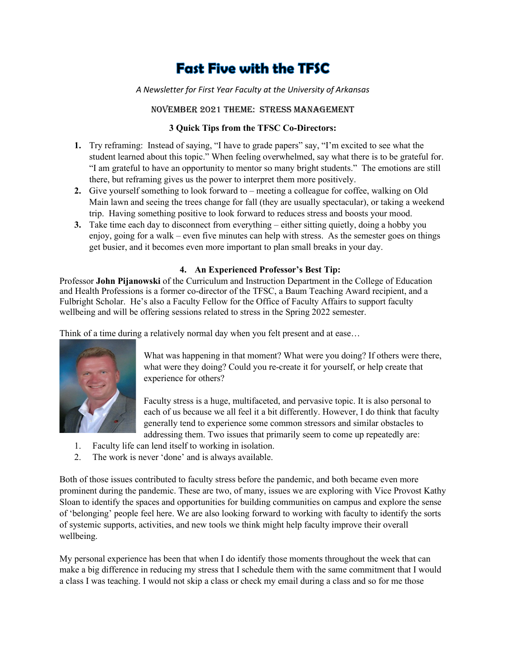# **Fast Five with the TFSC**

### *A Newsletter for First Year Faculty at the University of Arkansas*

### November 2021 Theme: Stress management

#### **3 Quick Tips from the TFSC Co-Directors:**

- **1.** Try reframing: Instead of saying, "I have to grade papers" say, "I'm excited to see what the student learned about this topic." When feeling overwhelmed, say what there is to be grateful for. "I am grateful to have an opportunity to mentor so many bright students." The emotions are still there, but reframing gives us the power to interpret them more positively.
- **2.** Give yourself something to look forward to meeting a colleague for coffee, walking on Old Main lawn and seeing the trees change for fall (they are usually spectacular), or taking a weekend trip. Having something positive to look forward to reduces stress and boosts your mood.
- **3.** Take time each day to disconnect from everything either sitting quietly, doing a hobby you enjoy, going for a walk – even five minutes can help with stress. As the semester goes on things get busier, and it becomes even more important to plan small breaks in your day.

## **4. An Experienced Professor's Best Tip:**

Professor **John Pijanowski** of the Curriculum and Instruction Department in the College of Education and Health Professions is a former co-director of the TFSC, a Baum Teaching Award recipient, and a Fulbright Scholar. He's also a Faculty Fellow for the Office of Faculty Affairs to support faculty wellbeing and will be offering sessions related to stress in the Spring 2022 semester.

Think of a time during a relatively normal day when you felt present and at ease…



What was happening in that moment? What were you doing? If others were there, what were they doing? Could you re-create it for yourself, or help create that experience for others?

Faculty stress is a huge, multifaceted, and pervasive topic. It is also personal to each of us because we all feel it a bit differently. However, I do think that faculty generally tend to experience some common stressors and similar obstacles to addressing them. Two issues that primarily seem to come up repeatedly are:

- 1. Faculty life can lend itself to working in isolation.
- 2. The work is never 'done' and is always available.

Both of those issues contributed to faculty stress before the pandemic, and both became even more prominent during the pandemic. These are two, of many, issues we are exploring with Vice Provost Kathy Sloan to identify the spaces and opportunities for building communities on campus and explore the sense of 'belonging' people feel here. We are also looking forward to working with faculty to identify the sorts of systemic supports, activities, and new tools we think might help faculty improve their overall wellbeing.

My personal experience has been that when I do identify those moments throughout the week that can make a big difference in reducing my stress that I schedule them with the same commitment that I would a class I was teaching. I would not skip a class or check my email during a class and so for me those